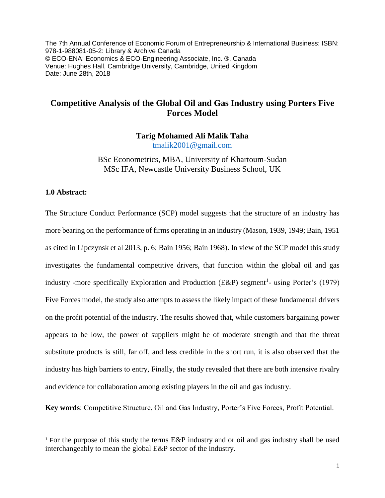The 7th Annual Conference of Economic Forum of Entrepreneurship & International Business: ISBN: 978-1-988081-05-2: Library & Archive Canada © ECO-ENA: Economics & ECO-Engineering Associate, Inc. ®, Canada Venue: Hughes Hall, Cambridge University, Cambridge, United Kingdom Date: June 28th, 2018

# **Competitive Analysis of the Global Oil and Gas Industry using Porters Five Forces Model**

**Tarig Mohamed Ali Malik Taha** [tmalik2001@gmail.com](mailto:tmalik2001@gmail.com)

BSc Econometrics, MBA, University of Khartoum-Sudan MSc IFA, Newcastle University Business School, UK

# **1.0 Abstract:**

 $\overline{a}$ 

The Structure Conduct Performance (SCP) model suggests that the structure of an industry has more bearing on the performance of firms operating in an industry (Mason, 1939, 1949; Bain, 1951 as cited in Lipczynsk et al 2013, p. 6; Bain 1956; Bain 1968). In view of the SCP model this study investigates the fundamental competitive drivers, that function within the global oil and gas industry -more specifically Exploration and Production (E&P) segment<sup>1</sup>- using Porter's (1979) Five Forces model, the study also attempts to assess the likely impact of these fundamental drivers on the profit potential of the industry. The results showed that, while customers bargaining power appears to be low, the power of suppliers might be of moderate strength and that the threat substitute products is still, far off, and less credible in the short run, it is also observed that the industry has high barriers to entry, Finally, the study revealed that there are both intensive rivalry and evidence for collaboration among existing players in the oil and gas industry.

**Key words**: Competitive Structure, Oil and Gas Industry, Porter's Five Forces, Profit Potential.

<sup>1</sup> For the purpose of this study the terms E&P industry and or oil and gas industry shall be used interchangeably to mean the global E&P sector of the industry.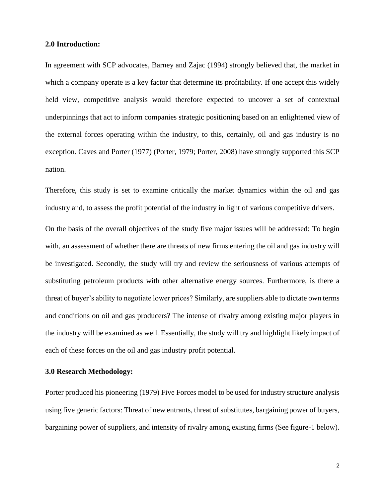#### **2.0 Introduction:**

In agreement with SCP advocates, Barney and Zajac (1994) strongly believed that, the market in which a company operate is a key factor that determine its profitability. If one accept this widely held view, competitive analysis would therefore expected to uncover a set of contextual underpinnings that act to inform companies strategic positioning based on an enlightened view of the external forces operating within the industry, to this, certainly, oil and gas industry is no exception. Caves and Porter (1977) (Porter, 1979; Porter, 2008) have strongly supported this SCP nation.

Therefore, this study is set to examine critically the market dynamics within the oil and gas industry and, to assess the profit potential of the industry in light of various competitive drivers.

On the basis of the overall objectives of the study five major issues will be addressed: To begin with, an assessment of whether there are threats of new firms entering the oil and gas industry will be investigated. Secondly, the study will try and review the seriousness of various attempts of substituting petroleum products with other alternative energy sources. Furthermore, is there a threat of buyer's ability to negotiate lower prices? Similarly, are suppliers able to dictate own terms and conditions on oil and gas producers? The intense of rivalry among existing major players in the industry will be examined as well. Essentially, the study will try and highlight likely impact of each of these forces on the oil and gas industry profit potential.

## **3.0 Research Methodology:**

Porter produced his pioneering (1979) Five Forces model to be used for industry structure analysis using five generic factors: Threat of new entrants, threat of substitutes, bargaining power of buyers, bargaining power of suppliers, and intensity of rivalry among existing firms (See figure-1 below).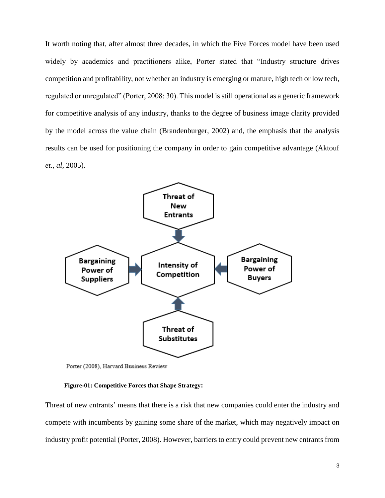It worth noting that, after almost three decades, in which the Five Forces model have been used widely by academics and practitioners alike, Porter stated that "Industry structure drives competition and profitability, not whether an industry is emerging or mature, high tech or low tech, regulated or unregulated" (Porter, 2008: 30). This model is still operational as a generic framework for competitive analysis of any industry, thanks to the degree of business image clarity provided by the model across the value chain (Brandenburger, 2002) and, the emphasis that the analysis results can be used for positioning the company in order to gain competitive advantage (Aktouf *et., al*, 2005).



Porter (2008), Harvard Business Review

#### **Figure-01: Competitive Forces that Shape Strategy:**

Threat of new entrants' means that there is a risk that new companies could enter the industry and compete with incumbents by gaining some share of the market, which may negatively impact on industry profit potential (Porter, 2008). However, barriers to entry could prevent new entrants from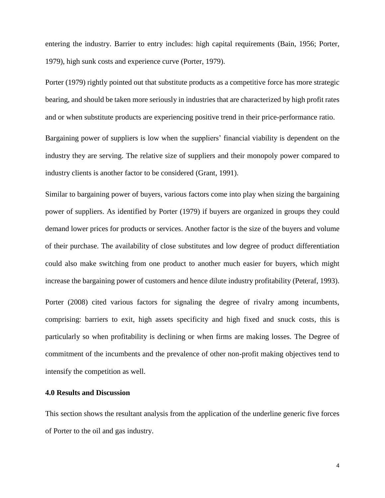entering the industry. Barrier to entry includes: high capital requirements (Bain, 1956; Porter, 1979), high sunk costs and experience curve (Porter, 1979).

Porter (1979) rightly pointed out that substitute products as a competitive force has more strategic bearing, and should be taken more seriously in industries that are characterized by high profit rates and or when substitute products are experiencing positive trend in their price-performance ratio. Bargaining power of suppliers is low when the suppliers' financial viability is dependent on the

industry they are serving. The relative size of suppliers and their monopoly power compared to

industry clients is another factor to be considered (Grant, 1991).

Similar to bargaining power of buyers, various factors come into play when sizing the bargaining power of suppliers. As identified by Porter (1979) if buyers are organized in groups they could demand lower prices for products or services. Another factor is the size of the buyers and volume of their purchase. The availability of close substitutes and low degree of product differentiation could also make switching from one product to another much easier for buyers, which might increase the bargaining power of customers and hence dilute industry profitability (Peteraf, 1993). Porter (2008) cited various factors for signaling the degree of rivalry among incumbents, comprising: barriers to exit, high assets specificity and high fixed and snuck costs, this is

particularly so when profitability is declining or when firms are making losses. The Degree of commitment of the incumbents and the prevalence of other non-profit making objectives tend to intensify the competition as well.

# **4.0 Results and Discussion**

This section shows the resultant analysis from the application of the underline generic five forces of Porter to the oil and gas industry.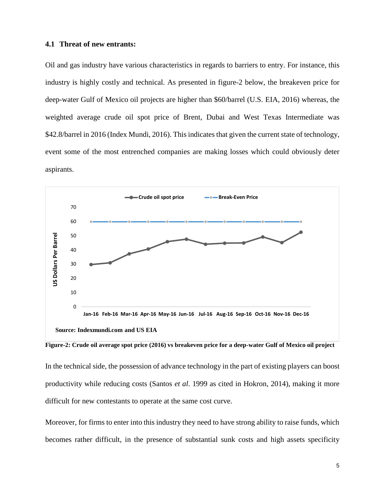#### **4.1 Threat of new entrants:**

Oil and gas industry have various characteristics in regards to barriers to entry. For instance, this industry is highly costly and technical. As presented in figure-2 below, the breakeven price for deep-water Gulf of Mexico oil projects are higher than \$60/barrel (U.S. EIA, 2016) whereas, the weighted average crude oil spot price of Brent, Dubai and West Texas Intermediate was \$42.8/barrel in 2016 (Index Mundi, 2016). This indicates that given the current state of technology, event some of the most entrenched companies are making losses which could obviously deter aspirants.



**Figure-2: Crude oil average spot price (2016) vs breakeven price for a deep-water Gulf of Mexico oil project**

In the technical side, the possession of advance technology in the part of existing players can boost productivity while reducing costs (Santos *et al*. 1999 as cited in Hokron, 2014), making it more difficult for new contestants to operate at the same cost curve.

Moreover, for firms to enter into this industry they need to have strong ability to raise funds, which becomes rather difficult, in the presence of substantial sunk costs and high assets specificity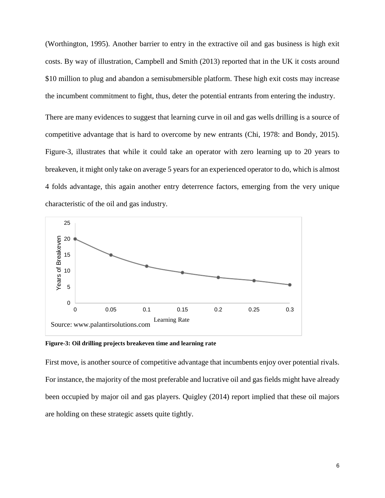(Worthington, 1995). Another barrier to entry in the extractive oil and gas business is high exit costs. By way of illustration, Campbell and Smith (2013) reported that in the UK it costs around \$10 million to plug and abandon a semisubmersible platform. These high exit costs may increase the incumbent commitment to fight, thus, deter the potential entrants from entering the industry.

There are many evidences to suggest that learning curve in oil and gas wells drilling is a source of competitive advantage that is hard to overcome by new entrants (Chi, 1978: and Bondy, 2015). Figure-3, illustrates that while it could take an operator with zero learning up to 20 years to breakeven, it might only take on average 5 years for an experienced operator to do, which is almost 4 folds advantage, this again another entry deterrence factors, emerging from the very unique characteristic of the oil and gas industry.



**Figure-3: Oil drilling projects breakeven time and learning rate**

First move, is another source of competitive advantage that incumbents enjoy over potential rivals. For instance, the majority of the most preferable and lucrative oil and gas fields might have already been occupied by major oil and gas players. Quigley (2014) report implied that these oil majors are holding on these strategic assets quite tightly.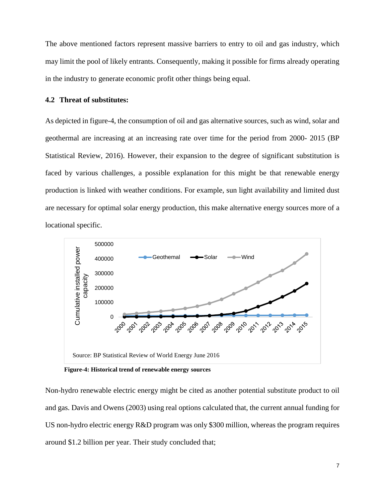The above mentioned factors represent massive barriers to entry to oil and gas industry, which may limit the pool of likely entrants. Consequently, making it possible for firms already operating in the industry to generate economic profit other things being equal.

#### **4.2 Threat of substitutes:**

As depicted in figure-4, the consumption of oil and gas alternative sources, such as wind, solar and geothermal are increasing at an increasing rate over time for the period from 2000- 2015 (BP Statistical Review, 2016). However, their expansion to the degree of significant substitution is faced by various challenges, a possible explanation for this might be that renewable energy production is linked with weather conditions. For example, sun light availability and limited dust are necessary for optimal solar energy production, this make alternative energy sources more of a locational specific.



 **Figure-4: Historical trend of renewable energy sources** 

Non-hydro renewable electric energy might be cited as another potential substitute product to oil and gas. Davis and Owens (2003) using real options calculated that, the current annual funding for US non-hydro electric energy R&D program was only \$300 million, whereas the program requires around \$1.2 billion per year. Their study concluded that;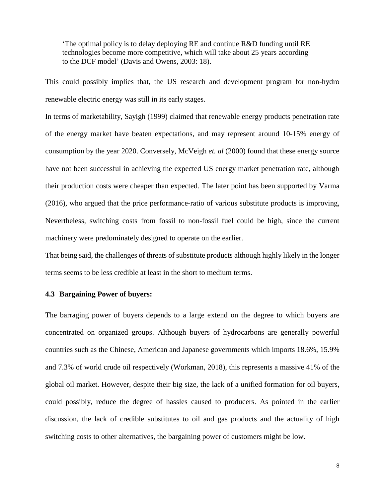'The optimal policy is to delay deploying RE and continue R&D funding until RE technologies become more competitive, which will take about 25 years according to the DCF model' (Davis and Owens, 2003: 18).

This could possibly implies that, the US research and development program for non-hydro renewable electric energy was still in its early stages.

In terms of marketability, Sayigh (1999) claimed that renewable energy products penetration rate of the energy market have beaten expectations, and may represent around 10-15% energy of consumption by the year 2020. Conversely, McVeigh *et. al* (2000) found that these energy source have not been successful in achieving the expected US energy market penetration rate, although their production costs were cheaper than expected. The later point has been supported by Varma (2016), who argued that the price performance-ratio of various substitute products is improving, Nevertheless, switching costs from fossil to non-fossil fuel could be high, since the current machinery were predominately designed to operate on the earlier.

That being said, the challenges of threats of substitute products although highly likely in the longer terms seems to be less credible at least in the short to medium terms.

## **4.3 Bargaining Power of buyers:**

The barraging power of buyers depends to a large extend on the degree to which buyers are concentrated on organized groups. Although buyers of hydrocarbons are generally powerful countries such as the Chinese, American and Japanese governments which imports 18.6%, 15.9% and 7.3% of world crude oil respectively (Workman, 2018), this represents a massive 41% of the global oil market. However, despite their big size, the lack of a unified formation for oil buyers, could possibly, reduce the degree of hassles caused to producers. As pointed in the earlier discussion, the lack of credible substitutes to oil and gas products and the actuality of high switching costs to other alternatives, the bargaining power of customers might be low.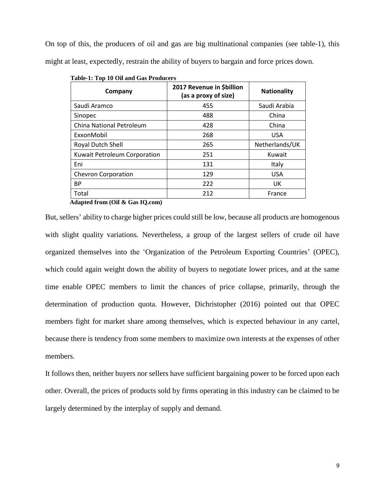On top of this, the producers of oil and gas are big multinational companies (see table-1), this might at least, expectedly, restrain the ability of buyers to bargain and force prices down.

| Company                         | 2017 Revenue in \$billion<br>(as a proxy of size) | <b>Nationality</b> |
|---------------------------------|---------------------------------------------------|--------------------|
| Saudi Aramco                    | 455                                               | Saudi Arabia       |
| Sinopec                         | 488                                               | China              |
| <b>China National Petroleum</b> | 428                                               | China              |
| ExxonMobil                      | 268                                               | <b>USA</b>         |
| Royal Dutch Shell               | 265                                               | Netherlands/UK     |
| Kuwait Petroleum Corporation    | 251                                               | Kuwait             |
| Eni                             | 131                                               | Italy              |
| <b>Chevron Corporation</b>      | 129                                               | <b>USA</b>         |
| <b>BP</b>                       | 222                                               | UK                 |
| Total                           | 212                                               | France             |

 **Table-1: Top 10 Oil and Gas Producers**

**Adapted from (Oil & Gas IQ.com)**

But, sellers' ability to charge higher prices could still be low, because all products are homogenous with slight quality variations. Nevertheless, a group of the largest sellers of crude oil have organized themselves into the 'Organization of the Petroleum Exporting Countries' (OPEC), which could again weight down the ability of buyers to negotiate lower prices, and at the same time enable OPEC members to limit the chances of price collapse, primarily, through the determination of production quota. However, Dichristopher (2016) pointed out that OPEC members fight for market share among themselves, which is expected behaviour in any cartel, because there is tendency from some members to maximize own interests at the expenses of other members.

It follows then, neither buyers nor sellers have sufficient bargaining power to be forced upon each other. Overall, the prices of products sold by firms operating in this industry can be claimed to be largely determined by the interplay of supply and demand.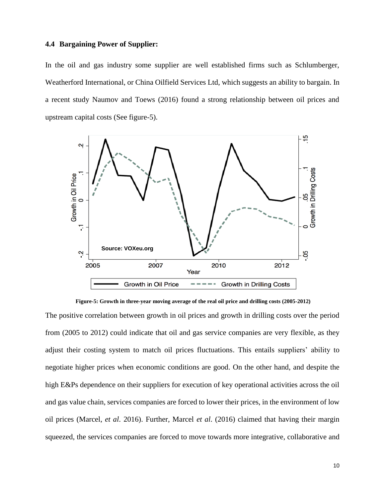#### **4.4 Bargaining Power of Supplier:**

In the oil and gas industry some supplier are well established firms such as Schlumberger, Weatherford International, or China Oilfield Services Ltd, which suggests an ability to bargain. In a recent study Naumov and Toews (2016) found a strong relationship between oil prices and upstream capital costs (See figure-5).



**Figure-5: Growth in three-year moving average of the real oil price and drilling costs (2005-2012)**

The positive correlation between growth in oil prices and growth in drilling costs over the period from (2005 to 2012) could indicate that oil and gas service companies are very flexible, as they adjust their costing system to match oil prices fluctuations. This entails suppliers' ability to negotiate higher prices when economic conditions are good. On the other hand, and despite the high E&Ps dependence on their suppliers for execution of key operational activities across the oil and gas value chain, services companies are forced to lower their prices, in the environment of low oil prices (Marcel, *et al*. 2016). Further, Marcel *et al*. (2016) claimed that having their margin squeezed, the services companies are forced to move towards more integrative, collaborative and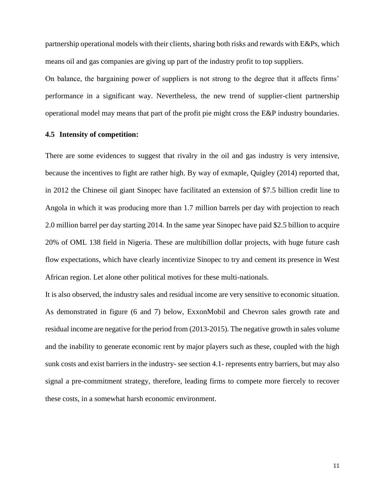partnership operational models with their clients, sharing both risks and rewards with E&Ps, which means oil and gas companies are giving up part of the industry profit to top suppliers.

On balance, the bargaining power of suppliers is not strong to the degree that it affects firms' performance in a significant way. Nevertheless, the new trend of supplier-client partnership operational model may means that part of the profit pie might cross the E&P industry boundaries.

# **4.5 Intensity of competition:**

There are some evidences to suggest that rivalry in the oil and gas industry is very intensive, because the incentives to fight are rather high. By way of exmaple, Quigley (2014) reported that, in 2012 the Chinese oil giant Sinopec have facilitated an extension of \$7.5 billion credit line to Angola in which it was producing more than 1.7 million barrels per day with projection to reach 2.0 million barrel per day starting 2014. In the same year Sinopec have paid \$2.5 billion to acquire 20% of OML 138 field in Nigeria. These are multibillion dollar projects, with huge future cash flow expectations, which have clearly incentivize Sinopec to try and cement its presence in West African region. Let alone other political motives for these multi-nationals.

It is also observed, the industry sales and residual income are very sensitive to economic situation. As demonstrated in figure (6 and 7) below, ExxonMobil and Chevron sales growth rate and residual income are negative for the period from (2013-2015). The negative growth in sales volume and the inability to generate economic rent by major players such as these, coupled with the high sunk costs and exist barriers in the industry- see section 4.1- represents entry barriers, but may also signal a pre-commitment strategy, therefore, leading firms to compete more fiercely to recover these costs, in a somewhat harsh economic environment.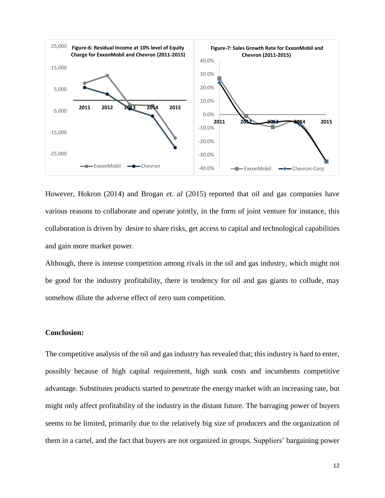

However, Hokron (2014) and Brogan *et. al* (2015) reported that oil and gas companies have various reasons to collaborate and operate jointly, in the form of joint venture for instance, this collaboration is driven by desire to share risks, get access to capital and technological capabilities and gain more market power.

Although, there is intense competition among rivals in the oil and gas industry, which might not be good for the industry profitability, there is tendency for oil and gas giants to collude, may somehow dilute the adverse effect of zero sum competition.

## **Conclusion:**

The competitive analysis of the oil and gas industry has revealed that; this industry is hard to enter, possibly because of high capital requirement, high sunk costs and incumbents competitive advantage. Substitutes products started to penetrate the energy market with an increasing rate, but might only affect profitability of the industry in the distant future. The barraging power of buyers seems to be limited, primarily due to the relatively big size of producers and the organization of them in a cartel, and the fact that buyers are not organized in groups. Suppliers' bargaining power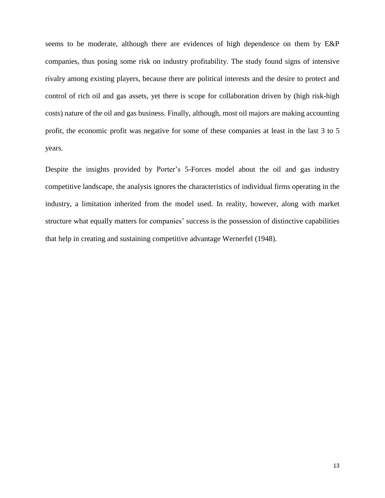seems to be moderate, although there are evidences of high dependence on them by E&P companies, thus posing some risk on industry profitability. The study found signs of intensive rivalry among existing players, because there are political interests and the desire to protect and control of rich oil and gas assets, yet there is scope for collaboration driven by (high risk-high costs) nature of the oil and gas business. Finally, although, most oil majors are making accounting profit, the economic profit was negative for some of these companies at least in the last 3 to 5 years.

Despite the insights provided by Porter's 5-Forces model about the oil and gas industry competitive landscape, the analysis ignores the characteristics of individual firms operating in the industry, a limitation inherited from the model used. In reality, however, along with market structure what equally matters for companies' success is the possession of distinctive capabilities that help in creating and sustaining competitive advantage Wernerfel (1948).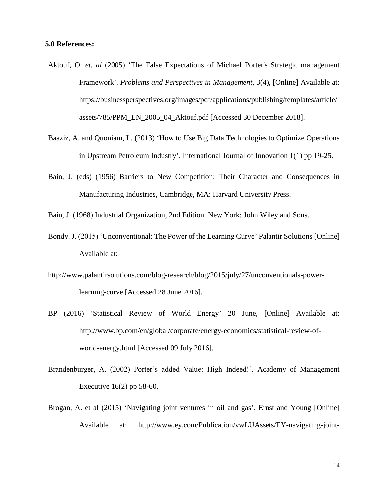#### **5.0 References:**

- Aktouf, O. *et, al* (2005) 'The False Expectations of Michael Porter's Strategic management Framework'. *Problems and Perspectives in Management*, 3(4), [Online] Available at: [https://businessperspectives.org/images/pdf/applications/publishing/templates/article/](https://businessperspectives.org/images/pdf/applications/publishing/templates/article/assets/785/PPM_EN_2005_04_Aktouf.pdf) [assets/785/PPM\\_EN\\_2005\\_04\\_Aktouf.pdf](https://businessperspectives.org/images/pdf/applications/publishing/templates/article/assets/785/PPM_EN_2005_04_Aktouf.pdf) [Accessed 30 December 2018].
- Baaziz, A. and Quoniam, L. (2013) 'How to Use Big Data Technologies to Optimize Operations in Upstream Petroleum Industry'. International Journal of Innovation 1(1) pp 19-25.
- Bain, J. (eds) (1956) Barriers to New Competition: Their Character and Consequences in Manufacturing Industries, Cambridge, MA: Harvard University Press.
- Bain, J. (1968) Industrial Organization, 2nd Edition. New York: John Wiley and Sons.
- Bondy. J. (2015) 'Unconventional: The Power of the Learning Curve' Palantir Solutions [Online] Available at:
- [http://www.palantirsolutions.com/blog-research/blog/2015/july/27/unconventionals-power](http://www.palantirsolutions.com/blog-research/blog/2015/july/27/unconventionals-power-learning-curve)[learning-curve](http://www.palantirsolutions.com/blog-research/blog/2015/july/27/unconventionals-power-learning-curve) [Accessed 28 June 2016].
- BP (2016) 'Statistical Review of World Energy' 20 June, [Online] Available at: [http://www.bp.com/en/global/corporate/energy-economics/statistical-review-of](http://www.bp.com/en/global/corporate/energy-economics/statistical-review-of-world-energy.html)[world-energy.html](http://www.bp.com/en/global/corporate/energy-economics/statistical-review-of-world-energy.html) [Accessed 09 July 2016].
- Brandenburger, A. (2002) Porter's added Value: High Indeed!'. Academy of Management Executive 16(2) pp 58-60.
- Brogan, A. et al (2015) 'Navigating joint ventures in oil and gas'. Ernst and Young [Online] Available at: [http://www.ey.com/Publication/vwLUAssets/EY-navigating-joint-](http://www.ey.com/Publication/vwLUAssets/EY-navigating-joint-ventures-in-oil-and-gas/$FILE/EY-navigating-joint-ventures-in-oil-and-gas.pdf)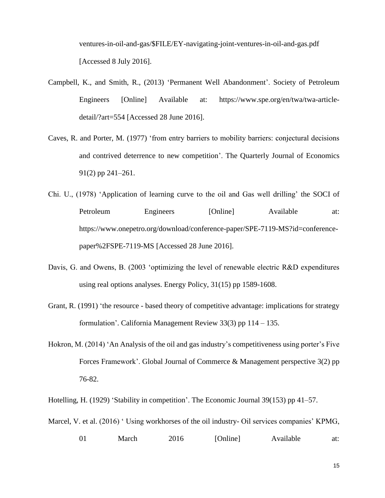[ventures-in-oil-and-gas/\\$FILE/EY-navigating-joint-ventures-in-oil-and-gas.pdf](http://www.ey.com/Publication/vwLUAssets/EY-navigating-joint-ventures-in-oil-and-gas/$FILE/EY-navigating-joint-ventures-in-oil-and-gas.pdf) [Accessed 8 July 2016].

- Campbell, K., and Smith, R., (2013) 'Permanent Well Abandonment'. Society of Petroleum Engineers [Online] Available at: https://www.spe.org/en/twa/twa-articledetail/?art=554 [Accessed 28 June 2016].
- Caves, R. and Porter, M. (1977) 'from entry barriers to mobility barriers: conjectural decisions and contrived deterrence to new competition'. The Quarterly Journal of Economics 91(2) pp 241–261.
- Chi. U., (1978) 'Application of learning curve to the oil and Gas well drilling' the SOCI of Petroleum Engineers [Online] Available at: [https://www.onepetro.org/download/conference-paper/SPE-7119-MS?id=conference](https://www.onepetro.org/download/conference-paper/SPE-7119-MS?id=conference-paper/SPE-7119-MS)[paper%2FSPE-7119-MS](https://www.onepetro.org/download/conference-paper/SPE-7119-MS?id=conference-paper/SPE-7119-MS) [Accessed 28 June 2016].
- Davis, G. and Owens, B. (2003 'optimizing the level of renewable electric R&D expenditures using real options analyses. Energy Policy, 31(15) pp 1589-1608.
- Grant, R. (1991) 'the resource based theory of competitive advantage: implications for strategy formulation'. California Management Review 33(3) pp 114 – 135.
- Hokron, M. (2014) 'An Analysis of the oil and gas industry's competitiveness using porter's Five Forces Framework'. Global Journal of Commerce & Management perspective 3(2) pp 76-82.

Hotelling, H. (1929) 'Stability in competition'. The Economic Journal 39(153) pp 41–57.

Marcel, V. et al. (2016) 'Using workhorses of the oil industry- Oil services companies' KPMG,

01 March 2016 [Online] Available at: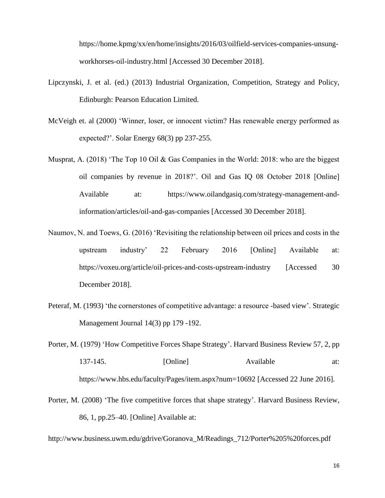[https://home.kpmg/xx/en/home/insights/2016/03/oilfield-services-companies-unsung](https://home.kpmg/xx/en/home/insights/2016/03/oilfield-services-companies-unsung-workhorses-oil-industry.html)[workhorses-oil-industry.html](https://home.kpmg/xx/en/home/insights/2016/03/oilfield-services-companies-unsung-workhorses-oil-industry.html) [Accessed 30 December 2018].

- Lipczynski, J. et al. (ed.) (2013) Industrial Organization, Competition, Strategy and Policy, Edinburgh: Pearson Education Limited.
- McVeigh et. al (2000) 'Winner, loser, or innocent victim? Has renewable energy performed as expected?'. Solar Energy 68(3) pp 237-255.
- Musprat, A. (2018) 'The Top 10 Oil & Gas Companies in the World: 2018: who are the biggest oil companies by revenue in 2018?'. Oil and Gas IQ 08 October 2018 [Online] Available at: [https://www.oilandgasiq.com/strategy-management-and](https://www.oilandgasiq.com/strategy-management-and-information/articles/oil-and-gas-companies)[information/articles/oil-and-gas-companies](https://www.oilandgasiq.com/strategy-management-and-information/articles/oil-and-gas-companies) [Accessed 30 December 2018].
- Naumov, N. and Toews, G. (2016) 'Revisiting the relationship between oil prices and costs in the upstream industry' 22 February 2016 [Online] Available at: <https://voxeu.org/article/oil-prices-and-costs-upstream-industry> [Accessed 30 December 2018].
- Peteraf, M. (1993) 'the cornerstones of competitive advantage: a resource -based view'. Strategic Management Journal 14(3) pp 179 -192.
- Porter, M. (1979) 'How Competitive Forces Shape Strategy'. Harvard Business Review 57, 2, pp 137-145. [Online] Available at: <https://www.hbs.edu/faculty/Pages/item.aspx?num=10692> [Accessed 22 June 2016].
- Porter, M. (2008) 'The five competitive forces that shape strategy'. Harvard Business Review, 86, 1, pp.25–40. [Online] Available at:

http://www.business.uwm.edu/gdrive/Goranova\_M/Readings\_712/Porter%205%20forces.pdf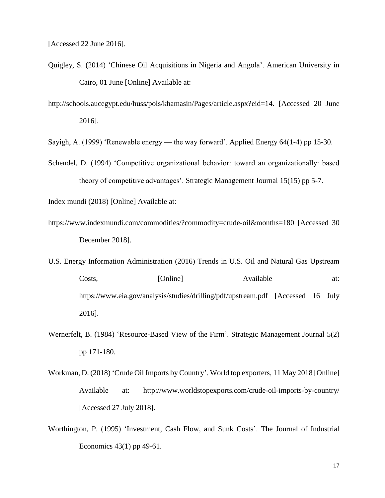[Accessed 22 June 2016].

- Quigley, S. (2014) 'Chinese Oil Acquisitions in Nigeria and Angola'. American University in Cairo, 01 June [Online] Available at:
- [http://schools.aucegypt.edu/huss/pols/khamasin/Pages/article.aspx?eid=14.](http://schools.aucegypt.edu/huss/pols/khamasin/Pages/article.aspx?eid=14) [Accessed 20 June 2016].

Sayigh, A. (1999) 'Renewable energy — the way forward'. Applied Energy 64(1-4) pp 15-30.

Schendel, D. (1994) 'Competitive organizational behavior: toward an organizationally: based theory of competitive advantages'. Strategic Management Journal 15(15) pp 5-7.

Index mundi (2018) [Online] Available at:

- <https://www.indexmundi.com/commodities/?commodity=crude-oil&months=180> [Accessed 30 December 2018].
- U.S. Energy Information Administration (2016) Trends in U.S. Oil and Natural Gas Upstream Costs, [Online] Available at: <https://www.eia.gov/analysis/studies/drilling/pdf/upstream.pdf> [Accessed 16 July 2016].
- Wernerfelt, B. (1984) 'Resource-Based View of the Firm'. Strategic Management Journal 5(2) pp 171-180.
- Workman, D. (2018) 'Crude Oil Imports by Country'. World top exporters, 11 May 2018 [Online] Available at: <http://www.worldstopexports.com/crude-oil-imports-by-country/> [Accessed 27 July 2018].
- Worthington, P. (1995) 'Investment, Cash Flow, and Sunk Costs'. The Journal of Industrial Economics 43(1) pp 49-61.